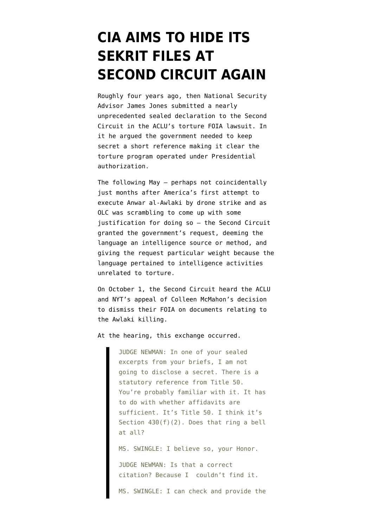## **[CIA AIMS TO HIDE ITS](https://www.emptywheel.net/2013/10/15/cia-aims-to-hide-its-sekrit-files-at-second-circuit-again/) [SEKRIT FILES AT](https://www.emptywheel.net/2013/10/15/cia-aims-to-hide-its-sekrit-files-at-second-circuit-again/) [SECOND CIRCUIT AGAIN](https://www.emptywheel.net/2013/10/15/cia-aims-to-hide-its-sekrit-files-at-second-circuit-again/)**

Roughly four years ago, then National Security Advisor James Jones [submitted a nearly](http://www.emptywheel.net/2012/04/20/the-cias-nscs-presidents-torture-program/) [unprecedented sealed declaration](http://www.emptywheel.net/2012/04/20/the-cias-nscs-presidents-torture-program/) to the Second Circuit in the ACLU's torture FOIA lawsuit. In it he argued the government needed to keep secret a short reference making it clear the torture program operated under Presidential authorization.

The following May — perhaps not coincidentally just months after America's first attempt to execute Anwar al-Awlaki by drone strike and as OLC was scrambling to come up with some justification for doing so — the Second Circuit [granted](http://www.emptywheel.net/2012/05/21/2nd-circuit-president-can-declare-proof-that-president-authorized-torture-secret/) the government's request, deeming the language an intelligence source or method, and giving the request particular weight because the language pertained to intelligence activities unrelated to torture.

On October 1, the Second Circuit [heard](http://www.emptywheel.net/wp-content/uploads/2013/10/131001-Second-Circuit-Argument.pdf) the ACLU and NYT's appeal of [Colleen McMahon's decision](http://www.emptywheel.net/2013/01/02/colleen-mcmahons-cheshire-cat-cias-stephen-preston/) to dismiss their FOIA on documents relating to the Awlaki killing.

At the hearing, this exchange occurred.

JUDGE NEWMAN: In one of your sealed excerpts from your briefs, I am not going to disclose a secret. There is a statutory reference from Title 50. You're probably familiar with it. It has to do with whether affidavits are sufficient. It's Title 50. I think it's Section 430(f)(2). Does that ring a bell at all?

MS. SWINGLE: I believe so, your Honor.

JUDGE NEWMAN: Is that a correct citation? Because I couldn't find it.

MS. SWINGLE: I can check and provide the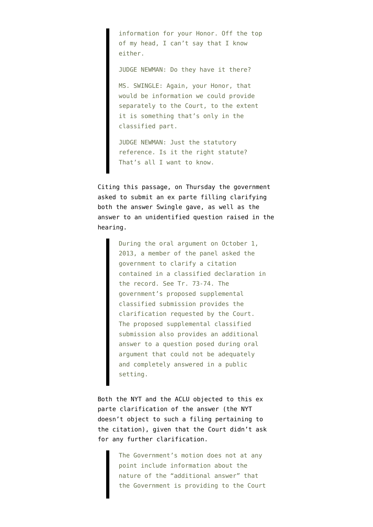information for your Honor. Off the top of my head, I can't say that I know either.

JUDGE NEWMAN: Do they have it there?

MS. SWINGLE: Again, your Honor, that would be information we could provide separately to the Court, to the extent it is something that's only in the classified part.

JUDGE NEWMAN: Just the statutory reference. Is it the right statute? That's all I want to know.

Citing this passage, on Thursday the government [asked](http://www.emptywheel.net/wp-content/uploads/2013/10/131010-Request-to-submit-ex-parte.pdf) to submit an ex parte filling clarifying both the answer Swingle gave, as well as the answer to an unidentified question raised in the hearing.

> During the oral argument on October 1, 2013, a member of the panel asked the government to clarify a citation contained in a classified declaration in the record. See Tr. 73-74. The government's proposed supplemental classified submission provides the clarification requested by the Court. The proposed supplemental classified submission also provides an additional answer to a question posed during oral argument that could not be adequately and completely answered in a public setting.

Both the [NYT](http://www.emptywheel.net/wp-content/uploads/2013/10/131013-NYT-Objection.pdf) and the [ACLU](http://www.emptywheel.net/wp-content/uploads/2013/10/131015-ACLU-Objection.pdf) objected to this ex parte clarification of the answer (the NYT doesn't object to such a filing pertaining to the citation), given that the Court didn't ask for any further clarification.

> The Government's motion does not at any point include information about the nature of the "additional answer" that the Government is providing to the Court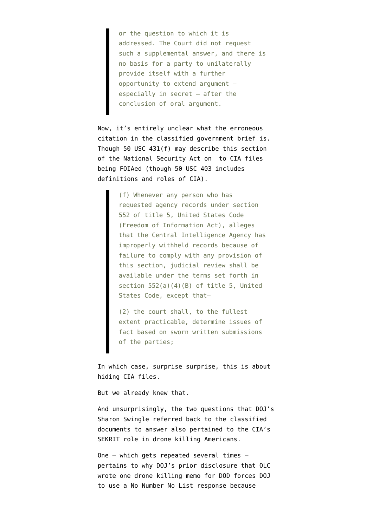or the question to which it is addressed. The Court did not request such a supplemental answer, and there is no basis for a party to unilaterally provide itself with a further opportunity to extend argument – especially in secret – after the conclusion of oral argument.

Now, it's entirely unclear what the erroneous citation in the classified government brief is. Though 50 USC 431(f) may describe [this section](http://www.intelligence.senate.gov/nsaact1947.pdf) of the National Security Act on to CIA files being FOIAed (though 50 USC 403 includes definitions and roles of CIA).

> (f) Whenever any person who has requested agency records under section 552 of title 5, United States Code (Freedom of Information Act), alleges that the Central Intelligence Agency has improperly withheld records because of failure to comply with any provision of this section, judicial review shall be available under the terms set forth in section 552(a)(4)(B) of title 5, United States Code, except that–

(2) the court shall, to the fullest extent practicable, determine issues of fact based on sworn written submissions of the parties;

In which case, surprise surprise, this is about hiding CIA files.

But we already knew that.

And unsurprisingly, the two questions that DOJ's Sharon Swingle referred back to the classified documents to answer also pertained to the CIA's SEKRIT role in drone killing Americans.

One — which gets repeated several times pertains to why DOJ's prior disclosure that OLC wrote one drone killing memo for DOD forces DOJ to use a No Number No List response because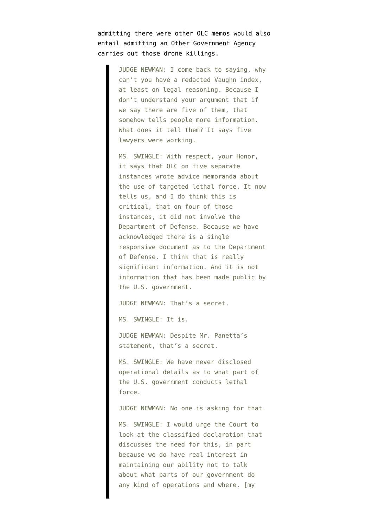admitting there were other OLC memos would also entail admitting an Other Government Agency carries out those drone killings.

> JUDGE NEWMAN: I come back to saying, why can't you have a redacted Vaughn index, at least on legal reasoning. Because I don't understand your argument that if we say there are five of them, that somehow tells people more information. What does it tell them? It says five lawyers were working.

> MS. SWINGLE: With respect, your Honor, it says that OLC on five separate instances wrote advice memoranda about the use of targeted lethal force. It now tells us, and I do think this is critical, that on four of those instances, it did not involve the Department of Defense. Because we have acknowledged there is a single responsive document as to the Department of Defense. I think that is really significant information. And it is not information that has been made public by the U.S. government.

JUDGE NEWMAN: That's a secret.

MS. SWINGLE: It is.

JUDGE NEWMAN: Despite Mr. Panetta's statement, that's a secret.

MS. SWINGLE: We have never disclosed operational details as to what part of the U.S. government conducts lethal force.

JUDGE NEWMAN: No one is asking for that.

MS. SWINGLE: I would urge the Court to look at the classified declaration that discusses the need for this, in part because we do have real interest in maintaining our ability not to talk about what parts of our government do any kind of operations and where. [my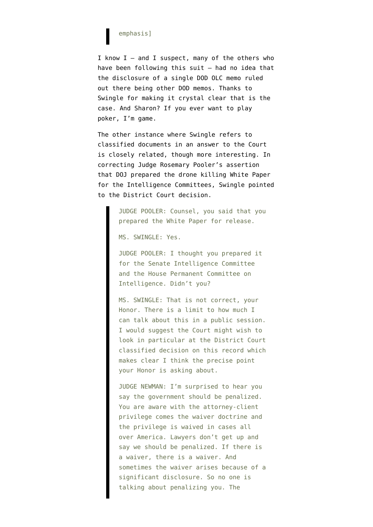## emphasis]

I know  $I -$  and I suspect, many of the others who have been following this suit — had no idea that the disclosure of a single DOD OLC memo ruled out there being other DOD memos. Thanks to Swingle for making it crystal clear that is the case. And Sharon? If you ever want to play poker, I'm game.

The other instance where Swingle refers to classified documents in an answer to the Court is closely related, though more interesting. In correcting Judge Rosemary Pooler's assertion that DOJ prepared the drone killing [White Paper](https://www.documentcloud.org/documents/602342-draft-white-paper.html) for the Intelligence Committees, Swingle pointed to the District Court decision.

> JUDGE POOLER: Counsel, you said that you prepared the White Paper for release.

MS. SWINGLE: Yes.

JUDGE POOLER: I thought you prepared it for the Senate Intelligence Committee and the House Permanent Committee on Intelligence. Didn't you?

MS. SWINGLE: That is not correct, your Honor. There is a limit to how much I can talk about this in a public session. I would suggest the Court might wish to look in particular at the District Court classified decision on this record which makes clear I think the precise point your Honor is asking about.

JUDGE NEWMAN: I'm surprised to hear you say the government should be penalized. You are aware with the attorney-client privilege comes the waiver doctrine and the privilege is waived in cases all over America. Lawyers don't get up and say we should be penalized. If there is a waiver, there is a waiver. And sometimes the waiver arises because of a significant disclosure. So no one is talking about penalizing you. The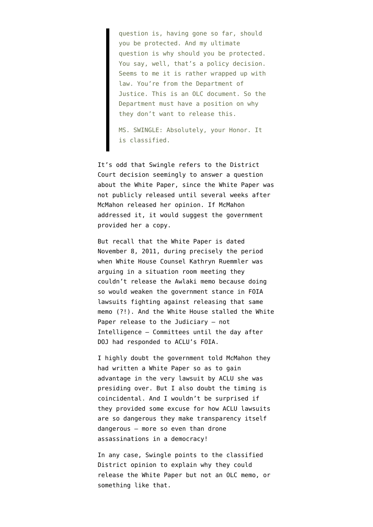question is, having gone so far, should you be protected. And my ultimate question is why should you be protected. You say, well, that's a policy decision. Seems to me it is rather wrapped up with law. You're from the Department of Justice. This is an OLC document. So the Department must have a position on why they don't want to release this.

MS. SWINGLE: Absolutely, your Honor. It is classified.

It's odd that Swingle refers to the District Court decision seemingly to answer a question about the White Paper, since the White Paper was not publicly released until several weeks after McMahon released her opinion. If McMahon addressed it, it would suggest the government provided her a copy.

But recall that the White Paper is dated November 8, 2011, during precisely the period when White House Counsel Kathryn Ruemmler [was](http://www.emptywheel.net/2012/03/30/white-house-counsel-kathy-ruemmler-vows-not-to-let-the-white-house-be-defeated-by-actual-citizens/) [arguing in a situation room meeting](http://www.emptywheel.net/2012/03/30/white-house-counsel-kathy-ruemmler-vows-not-to-let-the-white-house-be-defeated-by-actual-citizens/) they couldn't release the Awlaki memo because doing so would weaken the government stance in FOIA lawsuits fighting against releasing that same memo (?!). And the White House [stalled the White](http://www.emptywheel.net/2013/02/08/did-administration-stall-congressional-oversight-just-to-beat-aclu-in-court/) [Paper release](http://www.emptywheel.net/2013/02/08/did-administration-stall-congressional-oversight-just-to-beat-aclu-in-court/) to the Judiciary — not Intelligence — Committees until the day after DOJ had responded to ACLU's FOIA.

I highly doubt the government told McMahon they had written a White Paper so as to gain advantage in the very lawsuit by ACLU she was presiding over. But I also doubt the timing is coincidental. And I wouldn't be surprised if they provided some excuse for how ACLU lawsuits are so dangerous they make transparency itself dangerous — more so even than drone assassinations in a democracy!

In any case, Swingle points to the classified District opinion to explain why they could release the White Paper but not an OLC memo, or something like that.